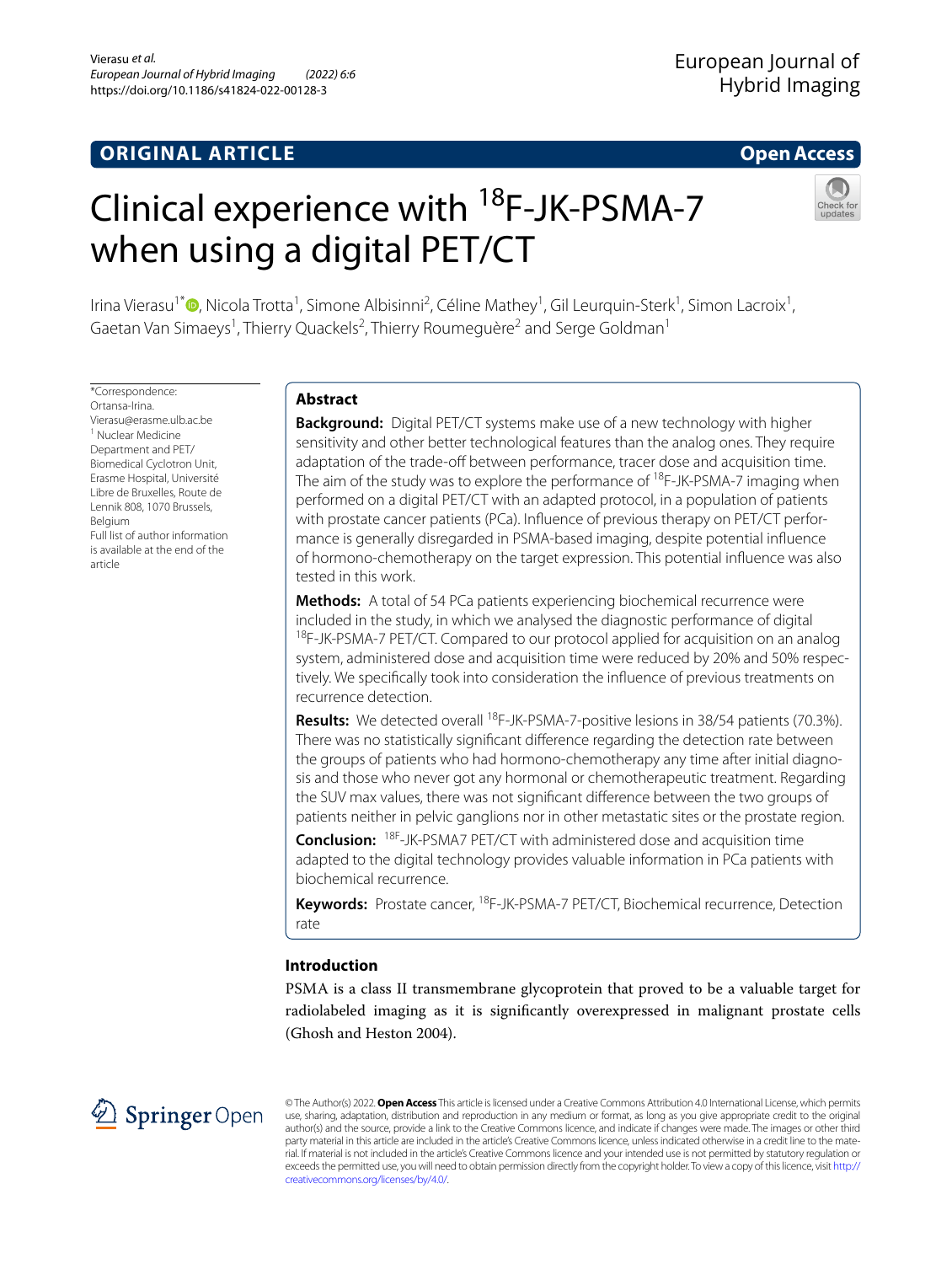# **ORIGINAL ARTICLE**

# **Open Access**

# Clinical experience with <sup>18</sup>F-JK-PSMA-7 when using a digital PET/CT



Irina Vierasu<sup>1\*</sup>®[,](http://orcid.org/0000-0002-0640-0916) Nicola Trotta<sup>1</sup>, Simone Albisinni<sup>2</sup>, Céline Mathey<sup>1</sup>, Gil Leurquin-Sterk<sup>1</sup>, Simon Lacroix<sup>1</sup>, Gaetan Van Simaeys<sup>1</sup>, Thierry Quackels<sup>2</sup>, Thierry Roumeguère<sup>2</sup> and Serge Goldman<sup>1</sup>

\*Correspondence: Ortansa-Irina. Vierasu@erasme.ulb.ac.be <sup>1</sup> Nuclear Medicine Department and PET/ Biomedical Cyclotron Unit, Erasme Hospital, Université Libre de Bruxelles, Route de Lennik 808, 1070 Brussels, Belgium Full list of author information is available at the end of the article

# **Abstract**

**Background:** Digital PET/CT systems make use of a new technology with higher sensitivity and other better technological features than the analog ones. They require adaptation of the trade-off between performance, tracer dose and acquisition time. The aim of the study was to explore the performance of <sup>18</sup>F-JK-PSMA-7 imaging when performed on a digital PET/CT with an adapted protocol, in a population of patients with prostate cancer patients (PCa). Influence of previous therapy on PET/CT performance is generally disregarded in PSMA-based imaging, despite potential infuence of hormono-chemotherapy on the target expression. This potential infuence was also tested in this work.

**Methods:** A total of 54 PCa patients experiencing biochemical recurrence were included in the study, in which we analysed the diagnostic performance of digital <sup>18</sup>F-JK-PSMA-7 PET/CT. Compared to our protocol applied for acquisition on an analog system, administered dose and acquisition time were reduced by 20% and 50% respec‑ tively. We specifcally took into consideration the infuence of previous treatments on recurrence detection.

Results: We detected overall <sup>18</sup>F-JK-PSMA-7-positive lesions in 38/54 patients (70.3%). There was no statistically signifcant diference regarding the detection rate between the groups of patients who had hormono-chemotherapy any time after initial diagnosis and those who never got any hormonal or chemotherapeutic treatment. Regarding the SUV max values, there was not signifcant diference between the two groups of patients neither in pelvic ganglions nor in other metastatic sites or the prostate region.

**Conclusion:** 18F-JK-PSMA7 PET/CT with administered dose and acquisition time adapted to the digital technology provides valuable information in PCa patients with biochemical recurrence.

**Keywords:** Prostate cancer, 18F-JK-PSMA-7 PET/CT, Biochemical recurrence, Detection rate

# **Introduction**

PSMA is a class II transmembrane glycoprotein that proved to be a valuable target for radiolabeled imaging as it is signifcantly overexpressed in malignant prostate cells (Ghosh and Heston 2004).



© The Author(s) 2022. **Open Access** This article is licensed under a Creative Commons Attribution 4.0 International License, which permits use, sharing, adaptation, distribution and reproduction in any medium or format, as long as you give appropriate credit to the original author(s) and the source, provide a link to the Creative Commons licence, and indicate if changes were made. The images or other third party material in this article are included in the article's Creative Commons licence, unless indicated otherwise in a credit line to the material. If material is not included in the article's Creative Commons licence and your intended use is not permitted by statutory regulation or exceeds the permitted use, you will need to obtain permission directly from the copyright holder. To view a copy of this licence, visit [http://](http://creativecommons.org/licenses/by/4.0/) [creativecommons.org/licenses/by/4.0/.](http://creativecommons.org/licenses/by/4.0/)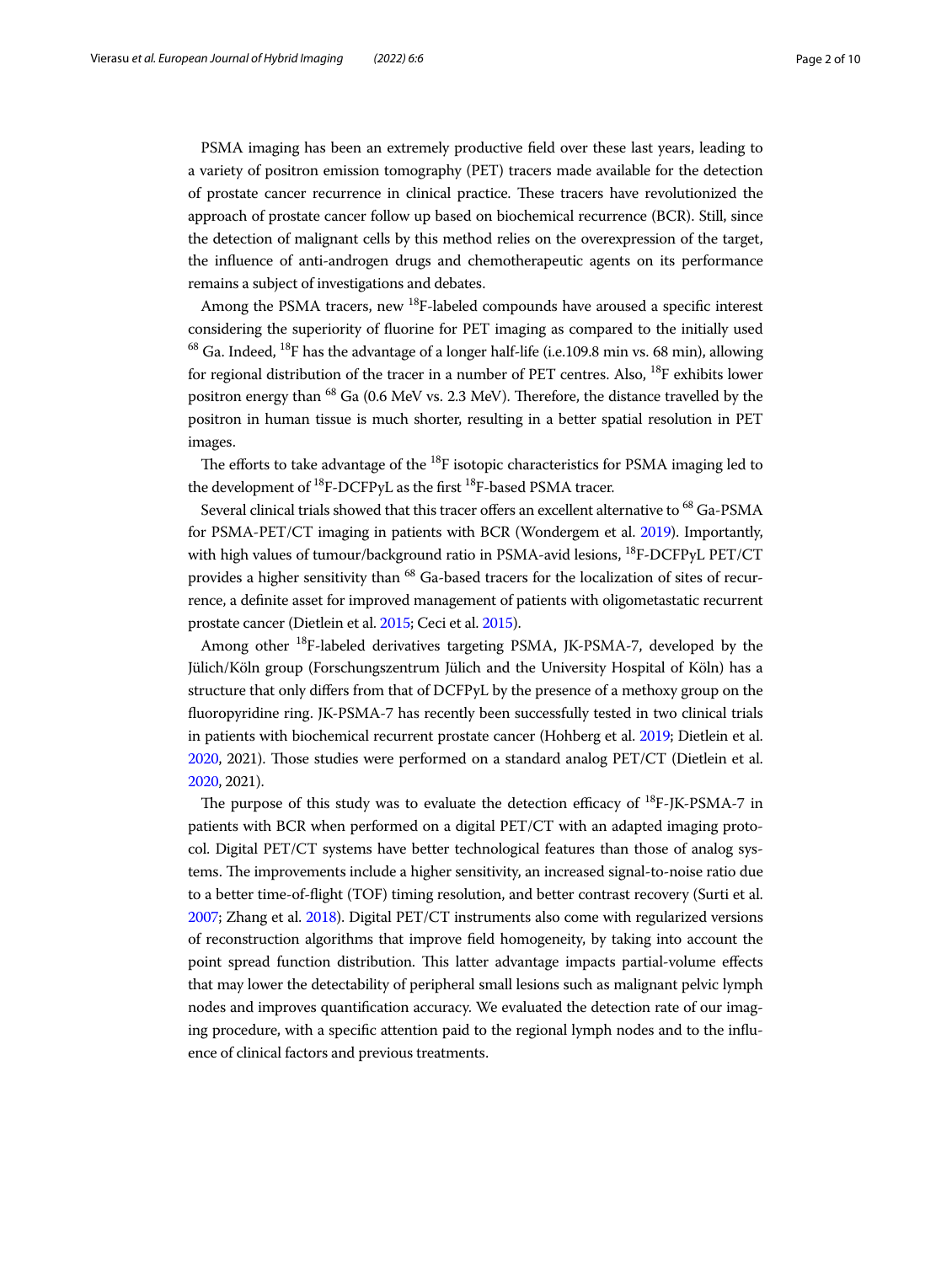PSMA imaging has been an extremely productive feld over these last years, leading to a variety of positron emission tomography (PET) tracers made available for the detection of prostate cancer recurrence in clinical practice. These tracers have revolutionized the approach of prostate cancer follow up based on biochemical recurrence (BCR). Still, since the detection of malignant cells by this method relies on the overexpression of the target, the infuence of anti-androgen drugs and chemotherapeutic agents on its performance remains a subject of investigations and debates.

Among the PSMA tracers, new  $^{18}F$ -labeled compounds have aroused a specific interest considering the superiority of fuorine for PET imaging as compared to the initially used  $^{68}$  Ga. Indeed,  $^{18}$ F has the advantage of a longer half-life (i.e.109.8 min vs. 68 min), allowing for regional distribution of the tracer in a number of PET centres. Also,  $^{18}$ F exhibits lower positron energy than  $^{68}$  Ga (0.6 MeV vs. 2.3 MeV). Therefore, the distance travelled by the positron in human tissue is much shorter, resulting in a better spatial resolution in PET images.

The efforts to take advantage of the  $^{18}$ F isotopic characteristics for PSMA imaging led to the development of  $^{18}$ F-DCFPyL as the first  $^{18}$ F-based PSMA tracer.

Several clinical trials showed that this tracer offers an excellent alternative to <sup>68</sup> Ga-PSMA for PSMA-PET/CT imaging in patients with BCR (Wondergem et al. [2019\)](#page-9-0). Importantly, with high values of tumour/background ratio in PSMA-avid lesions, <sup>18</sup>F-DCFPyL PET/CT provides a higher sensitivity than 68 Ga-based tracers for the localization of sites of recurrence, a defnite asset for improved management of patients with oligometastatic recurrent prostate cancer (Dietlein et al. [2015;](#page-9-1) Ceci et al. [2015\)](#page-8-0).

Among other <sup>18</sup>F-labeled derivatives targeting PSMA, JK-PSMA-7, developed by the Jülich/Köln group (Forschungszentrum Jülich and the University Hospital of Köln) has a structure that only difers from that of DCFPyL by the presence of a methoxy group on the fuoropyridine ring. JK-PSMA-7 has recently been successfully tested in two clinical trials in patients with biochemical recurrent prostate cancer (Hohberg et al. [2019](#page-9-2); Dietlein et al. [2020,](#page-8-1) 2021). Tose studies were performed on a standard analog PET/CT (Dietlein et al. [2020,](#page-8-1) 2021).

The purpose of this study was to evaluate the detection efficacy of  $^{18}F$ -JK-PSMA-7 in patients with BCR when performed on a digital PET/CT with an adapted imaging protocol. Digital PET/CT systems have better technological features than those of analog systems. The improvements include a higher sensitivity, an increased signal-to-noise ratio due to a better time-of-fight (TOF) timing resolution, and better contrast recovery (Surti et al. [2007;](#page-9-3) Zhang et al. [2018\)](#page-9-4). Digital PET/CT instruments also come with regularized versions of reconstruction algorithms that improve feld homogeneity, by taking into account the point spread function distribution. This latter advantage impacts partial-volume effects that may lower the detectability of peripheral small lesions such as malignant pelvic lymph nodes and improves quantifcation accuracy. We evaluated the detection rate of our imaging procedure, with a specifc attention paid to the regional lymph nodes and to the infuence of clinical factors and previous treatments.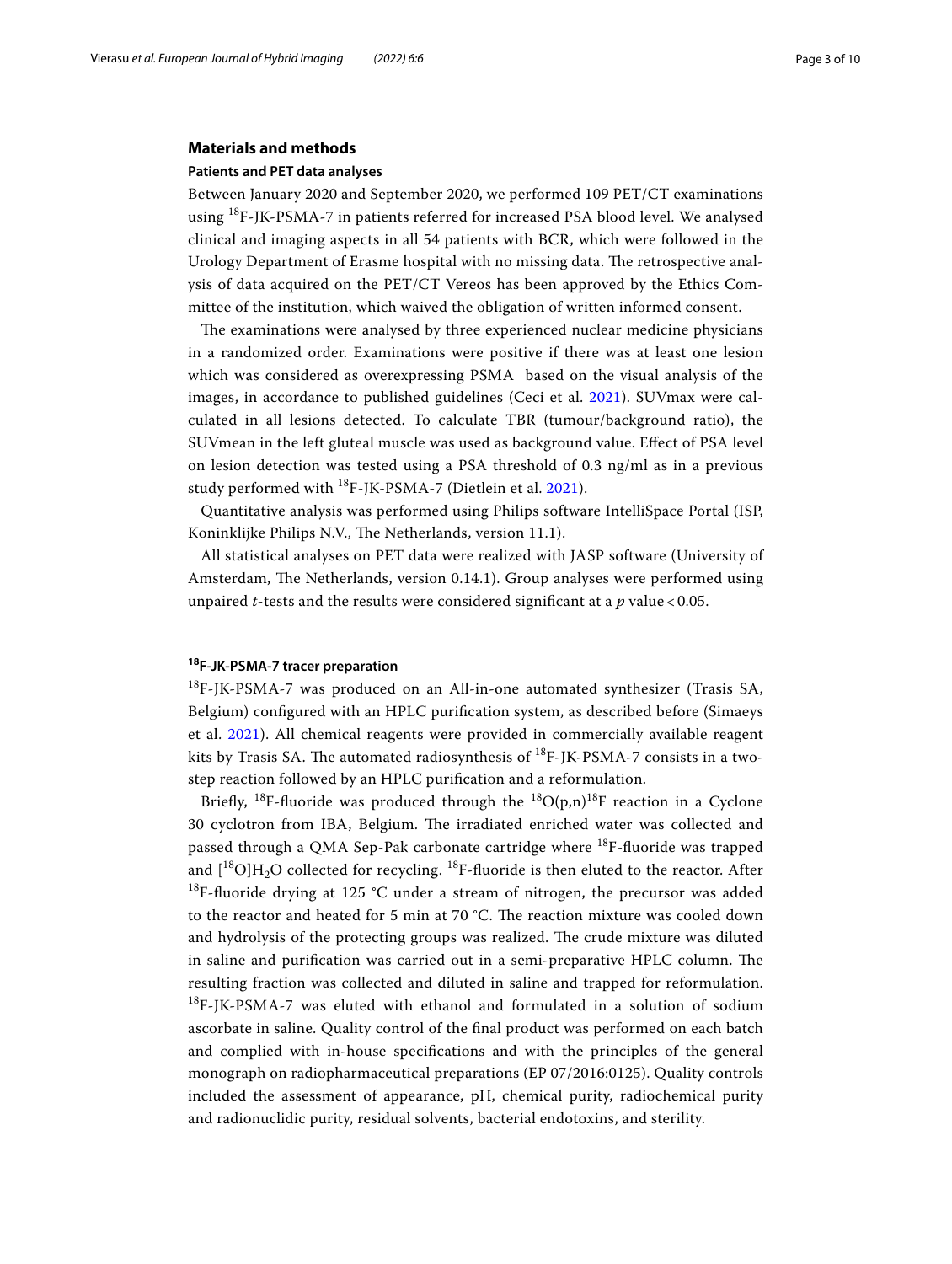## **Materials and methods**

## **Patients and PET data analyses**

Between January 2020 and September 2020, we performed 109 PET/CT examinations using 18F-JK-PSMA-7 in patients referred for increased PSA blood level. We analysed clinical and imaging aspects in all 54 patients with BCR, which were followed in the Urology Department of Erasme hospital with no missing data. The retrospective analysis of data acquired on the PET/CT Vereos has been approved by the Ethics Committee of the institution, which waived the obligation of written informed consent.

The examinations were analysed by three experienced nuclear medicine physicians in a randomized order. Examinations were positive if there was at least one lesion which was considered as overexpressing PSMA based on the visual analysis of the images, in accordance to published guidelines (Ceci et al. [2021\)](#page-8-2). SUVmax were calculated in all lesions detected. To calculate TBR (tumour/background ratio), the SUVmean in the left gluteal muscle was used as background value. Efect of PSA level on lesion detection was tested using a PSA threshold of 0.3 ng/ml as in a previous study performed with <sup>18</sup>F-JK-PSMA-7 (Dietlein et al. [2021](#page-9-5)).

Quantitative analysis was performed using Philips software IntelliSpace Portal (ISP, Koninklijke Philips N.V., The Netherlands, version 11.1).

All statistical analyses on PET data were realized with JASP software (University of Amsterdam, The Netherlands, version 0.14.1). Group analyses were performed using unpaired *t*-tests and the results were considered signifcant at a *p* value < 0.05.

## **<sup>18</sup>F‑JK‑PSMA‑7 tracer preparation**

<sup>18</sup>F-JK-PSMA-7 was produced on an All-in-one automated synthesizer (Trasis SA, Belgium) confgured with an HPLC purifcation system, as described before (Simaeys et al. [2021\)](#page-9-6). All chemical reagents were provided in commercially available reagent kits by Trasis SA. The automated radiosynthesis of  $^{18}F$ -JK-PSMA-7 consists in a twostep reaction followed by an HPLC purifcation and a reformulation.

Briefly, <sup>18</sup>F-fluoride was produced through the <sup>18</sup>O(p,n)<sup>18</sup>F reaction in a Cyclone 30 cyclotron from IBA, Belgium. The irradiated enriched water was collected and passed through a QMA Sep-Pak carbonate cartridge where <sup>18</sup>F-fluoride was trapped and  $[{}^{18}O]H_2O$  collected for recycling.  ${}^{18}F$ -fluoride is then eluted to the reactor. After <sup>18</sup>F-fluoride drying at 125 °C under a stream of nitrogen, the precursor was added to the reactor and heated for 5 min at 70 °C. The reaction mixture was cooled down and hydrolysis of the protecting groups was realized. The crude mixture was diluted in saline and purification was carried out in a semi-preparative HPLC column. The resulting fraction was collected and diluted in saline and trapped for reformulation. <sup>18</sup>F-JK-PSMA-7 was eluted with ethanol and formulated in a solution of sodium ascorbate in saline. Quality control of the fnal product was performed on each batch and complied with in-house specifcations and with the principles of the general monograph on radiopharmaceutical preparations (EP 07/2016:0125). Quality controls included the assessment of appearance, pH, chemical purity, radiochemical purity and radionuclidic purity, residual solvents, bacterial endotoxins, and sterility.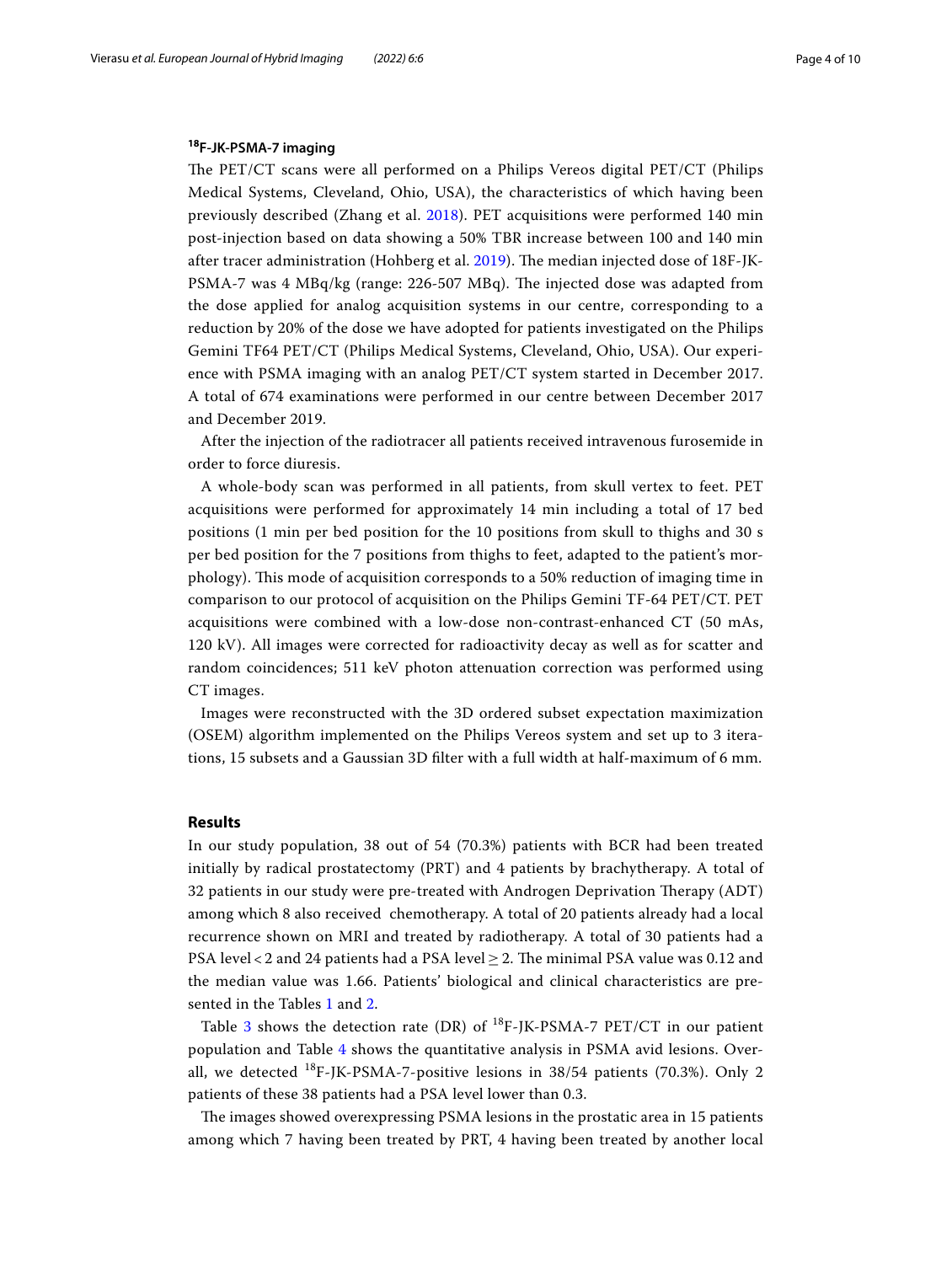# **<sup>18</sup>F‑JK‑PSMA‑7 imaging**

The PET/CT scans were all performed on a Philips Vereos digital PET/CT (Philips Medical Systems, Cleveland, Ohio, USA), the characteristics of which having been previously described (Zhang et al. [2018](#page-9-4)). PET acquisitions were performed 140 min post-injection based on data showing a 50% TBR increase between 100 and 140 min after tracer administration (Hohberg et al. [2019\)](#page-9-2). The median injected dose of 18F-JK-PSMA-7 was 4 MBq/kg (range: 226-507 MBq). The injected dose was adapted from the dose applied for analog acquisition systems in our centre, corresponding to a reduction by 20% of the dose we have adopted for patients investigated on the Philips Gemini TF64 PET/CT (Philips Medical Systems, Cleveland, Ohio, USA). Our experience with PSMA imaging with an analog PET/CT system started in December 2017. A total of 674 examinations were performed in our centre between December 2017 and December 2019.

After the injection of the radiotracer all patients received intravenous furosemide in order to force diuresis.

A whole-body scan was performed in all patients, from skull vertex to feet. PET acquisitions were performed for approximately 14 min including a total of 17 bed positions (1 min per bed position for the 10 positions from skull to thighs and 30 s per bed position for the 7 positions from thighs to feet, adapted to the patient's morphology). Tis mode of acquisition corresponds to a 50% reduction of imaging time in comparison to our protocol of acquisition on the Philips Gemini TF-64 PET/CT. PET acquisitions were combined with a low-dose non-contrast-enhanced CT (50 mAs, 120 kV). All images were corrected for radioactivity decay as well as for scatter and random coincidences; 511 keV photon attenuation correction was performed using CT images.

Images were reconstructed with the 3D ordered subset expectation maximization (OSEM) algorithm implemented on the Philips Vereos system and set up to 3 iterations, 15 subsets and a Gaussian 3D flter with a full width at half-maximum of 6 mm.

## **Results**

In our study population, 38 out of 54 (70.3%) patients with BCR had been treated initially by radical prostatectomy (PRT) and 4 patients by brachytherapy. A total of 32 patients in our study were pre-treated with Androgen Deprivation Therapy (ADT) among which 8 also received chemotherapy. A total of 20 patients already had a local recurrence shown on MRI and treated by radiotherapy. A total of 30 patients had a PSA level < 2 and 24 patients had a PSA level  $\geq$  2. The minimal PSA value was 0.12 and the median value was 1.66. Patients' biological and clinical characteristics are presented in the Tables [1](#page-4-0) and [2](#page-4-1).

Table [3](#page-4-2) shows the detection rate (DR) of  $^{18}F$ -JK-PSMA-7 PET/CT in our patient population and Table [4](#page-5-0) shows the quantitative analysis in PSMA avid lesions. Overall, we detected  $^{18}$ F-JK-PSMA-7-positive lesions in 38/54 patients (70.3%). Only 2 patients of these 38 patients had a PSA level lower than 0.3.

The images showed overexpressing PSMA lesions in the prostatic area in 15 patients among which 7 having been treated by PRT, 4 having been treated by another local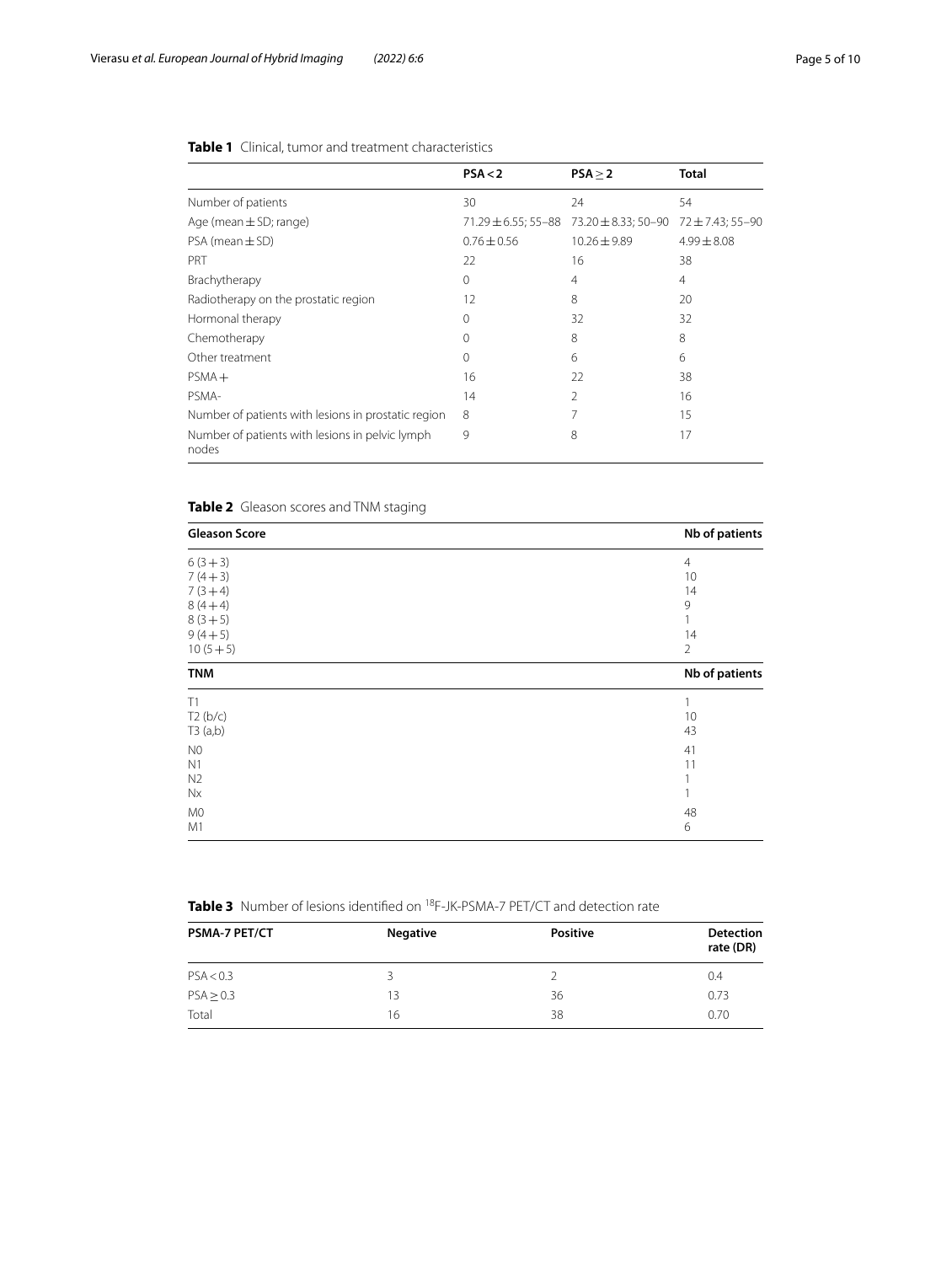|                                                          | PSA < 2         | PSA > 2                                           | <b>Total</b>    |
|----------------------------------------------------------|-----------------|---------------------------------------------------|-----------------|
| Number of patients                                       | 30              | 24                                                | 54              |
| Age (mean $\pm$ SD; range)                               |                 | $71.29 \pm 6.55$ ; 55-88 $73.20 \pm 8.33$ ; 50-90 | 72±7.43; 55–90  |
| $PSA$ (mean $\pm$ SD)                                    | $0.76 \pm 0.56$ | $10.26 \pm 9.89$                                  | $4.99 \pm 8.08$ |
| PRT                                                      | 22              | 16                                                | 38              |
| Brachytherapy                                            | $\Omega$        | 4                                                 | $\overline{4}$  |
| Radiotherapy on the prostatic region                     | 12              | 8                                                 | 20              |
| Hormonal therapy                                         | $\Omega$        | 32                                                | 32              |
| Chemotherapy                                             | 0               | 8                                                 | 8               |
| Other treatment                                          | $\Omega$        | 6                                                 | 6               |
| $PSMA +$                                                 | 16              | 22                                                | 38              |
| PSMA-                                                    | 14              | $\mathfrak{D}$                                    | 16              |
| Number of patients with lesions in prostatic region      | 8               |                                                   | 15              |
| Number of patients with lesions in pelvic lymph<br>nodes | 9               | 8                                                 | 17              |

# <span id="page-4-0"></span>**Table 1** Clinical, tumor and treatment characteristics

# <span id="page-4-1"></span>**Table 2** Gleason scores and TNM staging

| <b>Gleason Score</b> | Nb of patients |
|----------------------|----------------|
| $6(3+3)$             | $\overline{4}$ |
| $7(4+3)$             | 10             |
| $7(3+4)$             | 14             |
| $8(4+4)$             | 9              |
| $8(3+5)$             |                |
| $9(4+5)$             | 14             |
| $10(5+5)$            | $\overline{2}$ |
| <b>TNM</b>           | Nb of patients |
| T1                   |                |
| T2(b/c)              | 10             |
| T3(a,b)              | 43             |
| N <sub>0</sub>       | 41             |
| N1                   | 11             |
| N <sub>2</sub>       |                |
| Nx                   |                |
| M <sub>0</sub>       | 48             |
| M1                   | 6              |

<span id="page-4-2"></span>

| <b>Table 3</b> Number of lesions identified on <sup>18</sup> F-JK-PSMA-7 PET/CT and detection rate |  |
|----------------------------------------------------------------------------------------------------|--|
|----------------------------------------------------------------------------------------------------|--|

| <b>PSMA-7 PET/CT</b> | <b>Negative</b> | <b>Positive</b> | <b>Detection</b><br>rate (DR) |
|----------------------|-----------------|-----------------|-------------------------------|
| PSA < 0.3            | 3               |                 | 0.4                           |
| PSA > 0.3            | 13              | 36              | 0.73                          |
| Total                | 16              | 38              | 0.70                          |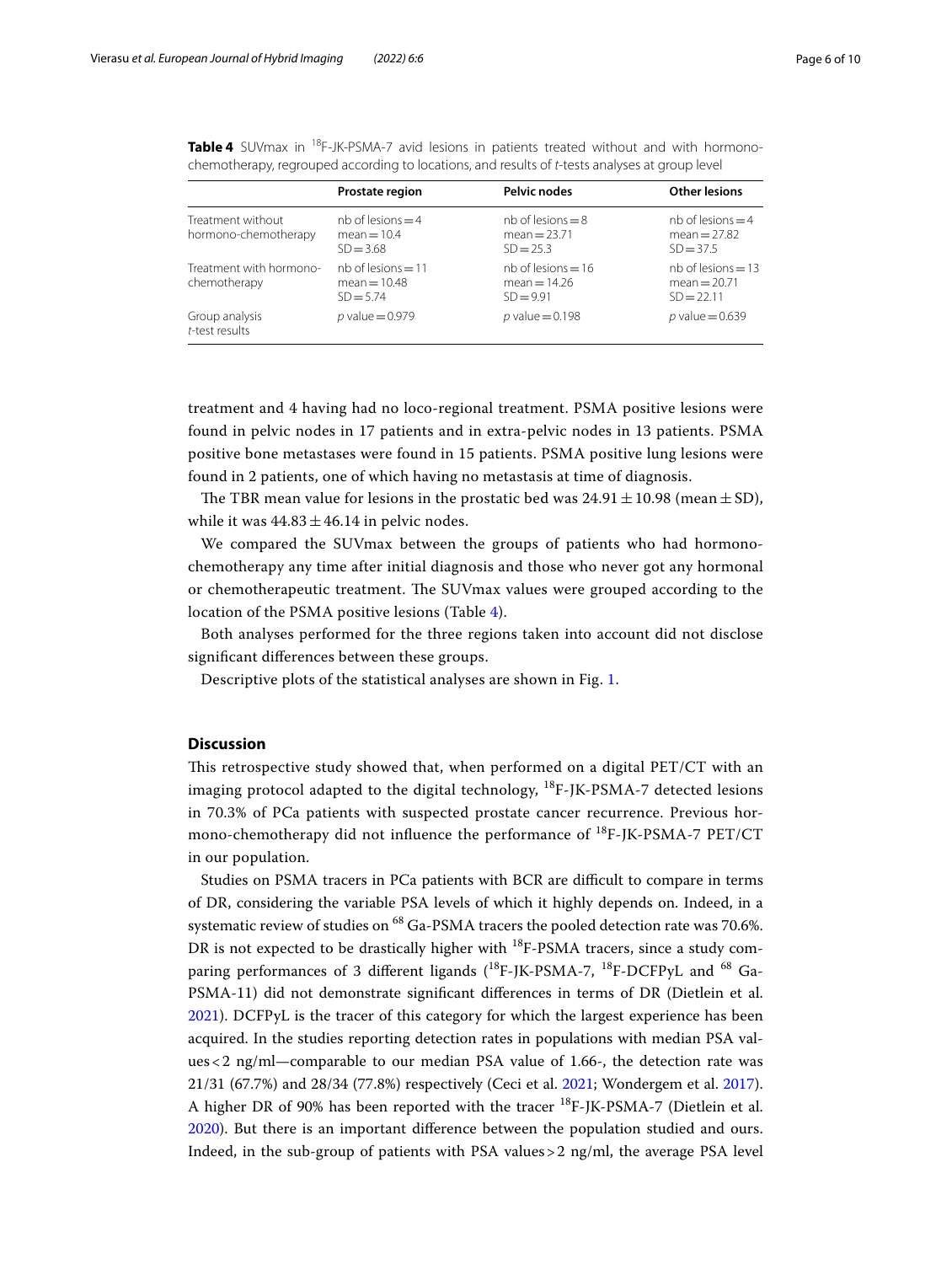<span id="page-5-0"></span>**Table 4** SUVmax in <sup>18</sup>F-JK-PSMA-7 avid lesions in patients treated without and with hormonochemotherapy, regrouped according to locations, and results of *t*-tests analyses at group level

|                                           | Prostate region                                       | <b>Pelvic nodes</b>                                   | <b>Other lesions</b>                                   |
|-------------------------------------------|-------------------------------------------------------|-------------------------------------------------------|--------------------------------------------------------|
| Treatment without<br>hormono-chemotherapy | $nb$ of lesions $=4$<br>$mean = 10.4$<br>$SD = 3.68$  | $nb$ of lesions = 8<br>mean $= 23.71$<br>$SD = 25.3$  | $nb$ of lesions $=$ 4<br>mean = $27.82$<br>$SD = 37.5$ |
| Treatment with hormono-<br>chemotherapy   | $nb$ of lesions = 11<br>$mean = 10.48$<br>$SD = 5.74$ | $nb$ of lesions = 16<br>$mean = 14.26$<br>$SD = 9.91$ | $nb$ of lesions = 13<br>mean = $20.71$<br>$SD = 22.11$ |
| Group analysis<br>t-test results          | $p$ value = 0.979                                     | $p$ value = 0.198                                     | p value = $0.639$                                      |

treatment and 4 having had no loco-regional treatment. PSMA positive lesions were found in pelvic nodes in 17 patients and in extra-pelvic nodes in 13 patients. PSMA positive bone metastases were found in 15 patients. PSMA positive lung lesions were found in 2 patients, one of which having no metastasis at time of diagnosis.

The TBR mean value for lesions in the prostatic bed was  $24.91 \pm 10.98$  (mean  $\pm$  SD), while it was  $44.83 \pm 46.14$  in pelvic nodes.

We compared the SUVmax between the groups of patients who had hormonochemotherapy any time after initial diagnosis and those who never got any hormonal or chemotherapeutic treatment. The SUVmax values were grouped according to the location of the PSMA positive lesions (Table [4\)](#page-5-0).

Both analyses performed for the three regions taken into account did not disclose signifcant diferences between these groups.

Descriptive plots of the statistical analyses are shown in Fig. [1](#page-6-0).

## **Discussion**

This retrospective study showed that, when performed on a digital PET/CT with an imaging protocol adapted to the digital technology,  $^{18}F$ -JK-PSMA-7 detected lesions in 70.3% of PCa patients with suspected prostate cancer recurrence. Previous hormono-chemotherapy did not influence the performance of  $^{18}F$ -JK-PSMA-7 PET/CT in our population.

Studies on PSMA tracers in PCa patients with BCR are difficult to compare in terms of DR, considering the variable PSA levels of which it highly depends on. Indeed, in a systematic review of studies on  $^{68}$  Ga-PSMA tracers the pooled detection rate was 70.6%. DR is not expected to be drastically higher with <sup>18</sup>F-PSMA tracers, since a study comparing performances of 3 different ligands  $(^{18}F-IK-PSMA-7, ^{18}F-DCFPYL$  and  $^{68}Ga-$ PSMA-11) did not demonstrate signifcant diferences in terms of DR (Dietlein et al. [2021](#page-9-5)). DCFPyL is the tracer of this category for which the largest experience has been acquired. In the studies reporting detection rates in populations with median PSA values<2 ng/ml—comparable to our median PSA value of 1.66-, the detection rate was 21/31 (67.7%) and 28/34 (77.8%) respectively (Ceci et al. [2021;](#page-8-2) Wondergem et al. [2017](#page-9-7)). A higher DR of 90% has been reported with the tracer <sup>18</sup>F-JK-PSMA-7 (Dietlein et al. [2020](#page-8-1)). But there is an important diference between the population studied and ours. Indeed, in the sub-group of patients with PSA values  $>$  2 ng/ml, the average PSA level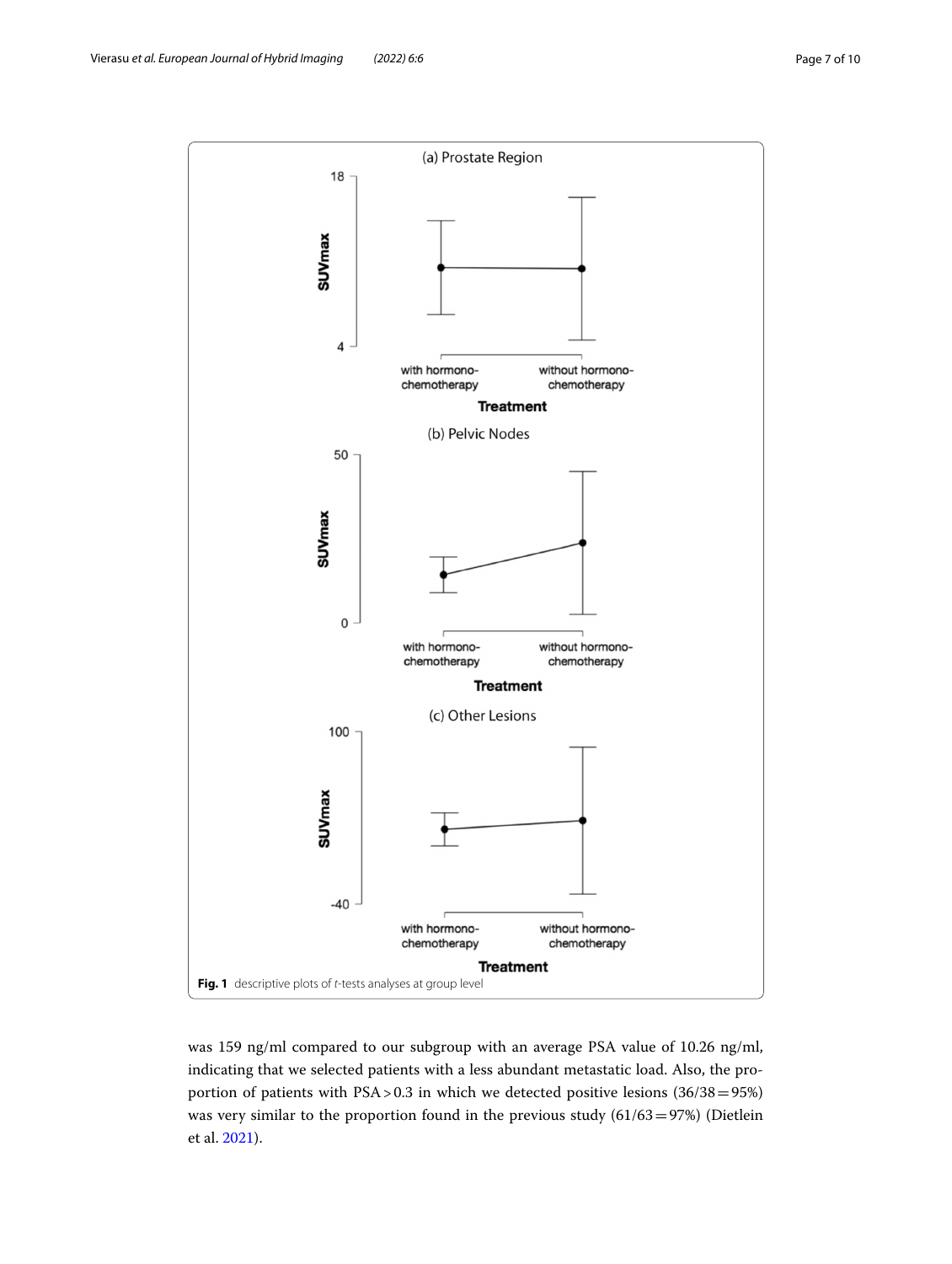

<span id="page-6-0"></span>was 159 ng/ml compared to our subgroup with an average PSA value of 10.26 ng/ml, indicating that we selected patients with a less abundant metastatic load. Also, the proportion of patients with PSA > 0.3 in which we detected positive lesions (36/38=95%) was very similar to the proportion found in the previous study (61/63=97%) (Dietlein et al. [2021\)](#page-9-5).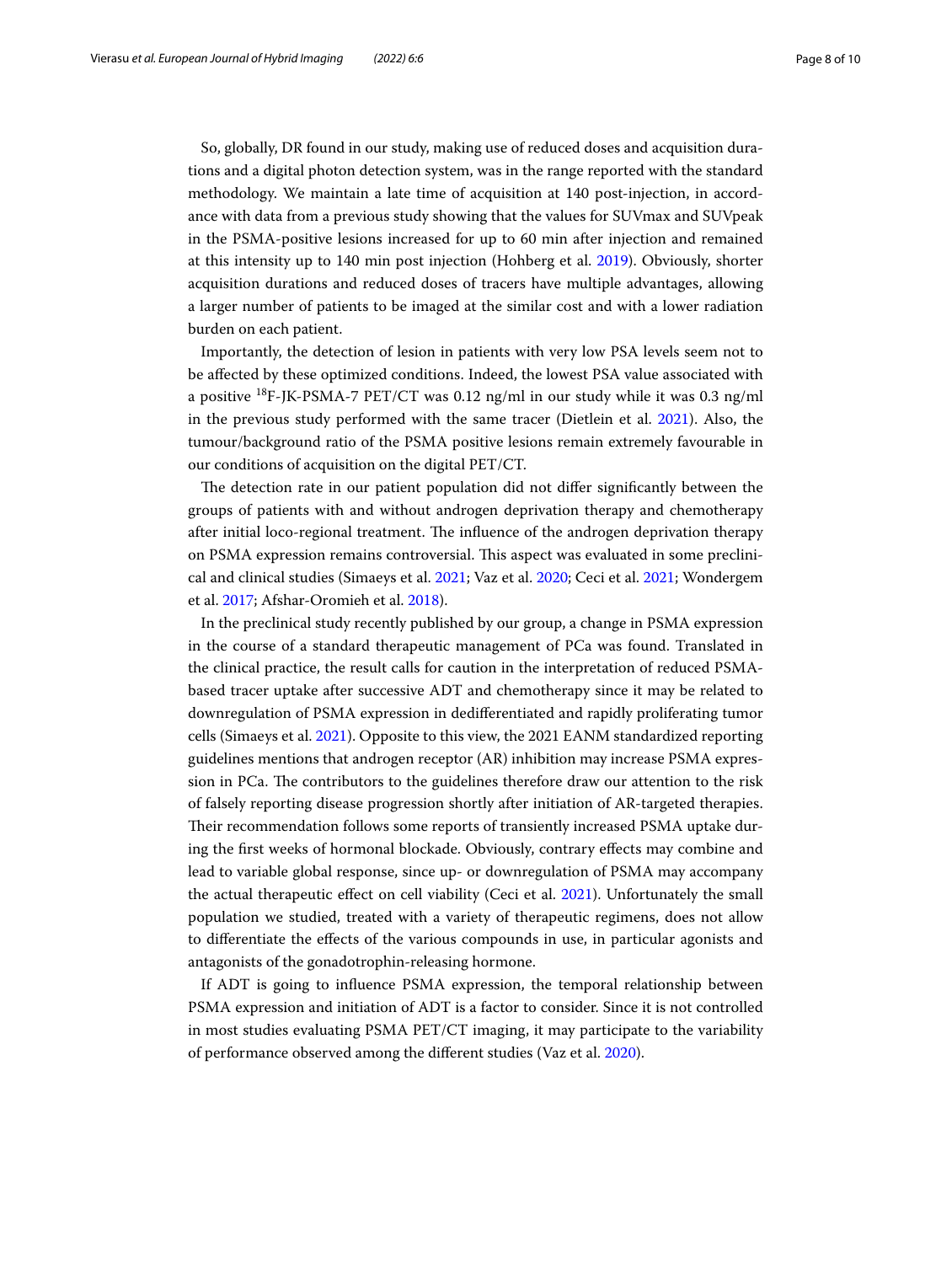So, globally, DR found in our study, making use of reduced doses and acquisition durations and a digital photon detection system, was in the range reported with the standard methodology. We maintain a late time of acquisition at 140 post-injection, in accordance with data from a previous study showing that the values for SUVmax and SUVpeak in the PSMA-positive lesions increased for up to 60 min after injection and remained at this intensity up to 140 min post injection (Hohberg et al. [2019](#page-9-2)). Obviously, shorter acquisition durations and reduced doses of tracers have multiple advantages, allowing a larger number of patients to be imaged at the similar cost and with a lower radiation burden on each patient.

Importantly, the detection of lesion in patients with very low PSA levels seem not to be afected by these optimized conditions. Indeed, the lowest PSA value associated with a positive  $^{18}F$ -JK-PSMA-7 PET/CT was 0.12 ng/ml in our study while it was 0.3 ng/ml in the previous study performed with the same tracer (Dietlein et al. [2021](#page-9-5)). Also, the tumour/background ratio of the PSMA positive lesions remain extremely favourable in our conditions of acquisition on the digital PET/CT.

The detection rate in our patient population did not differ significantly between the groups of patients with and without androgen deprivation therapy and chemotherapy after initial loco-regional treatment. The influence of the androgen deprivation therapy on PSMA expression remains controversial. Tis aspect was evaluated in some preclinical and clinical studies (Simaeys et al. [2021;](#page-9-6) Vaz et al. [2020](#page-9-8); Ceci et al. [2021](#page-8-2); Wondergem et al. [2017;](#page-9-7) Afshar-Oromieh et al. [2018\)](#page-8-3).

In the preclinical study recently published by our group, a change in PSMA expression in the course of a standard therapeutic management of PCa was found. Translated in the clinical practice, the result calls for caution in the interpretation of reduced PSMAbased tracer uptake after successive ADT and chemotherapy since it may be related to downregulation of PSMA expression in dediferentiated and rapidly proliferating tumor cells (Simaeys et al. [2021](#page-9-6)). Opposite to this view, the 2021 EANM standardized reporting guidelines mentions that androgen receptor (AR) inhibition may increase PSMA expression in PCa. The contributors to the guidelines therefore draw our attention to the risk of falsely reporting disease progression shortly after initiation of AR-targeted therapies. Their recommendation follows some reports of transiently increased PSMA uptake during the frst weeks of hormonal blockade. Obviously, contrary efects may combine and lead to variable global response, since up- or downregulation of PSMA may accompany the actual therapeutic efect on cell viability (Ceci et al. [2021\)](#page-8-2). Unfortunately the small population we studied, treated with a variety of therapeutic regimens, does not allow to diferentiate the efects of the various compounds in use, in particular agonists and antagonists of the gonadotrophin-releasing hormone.

If ADT is going to infuence PSMA expression, the temporal relationship between PSMA expression and initiation of ADT is a factor to consider. Since it is not controlled in most studies evaluating PSMA PET/CT imaging, it may participate to the variability of performance observed among the diferent studies (Vaz et al. [2020](#page-9-8)).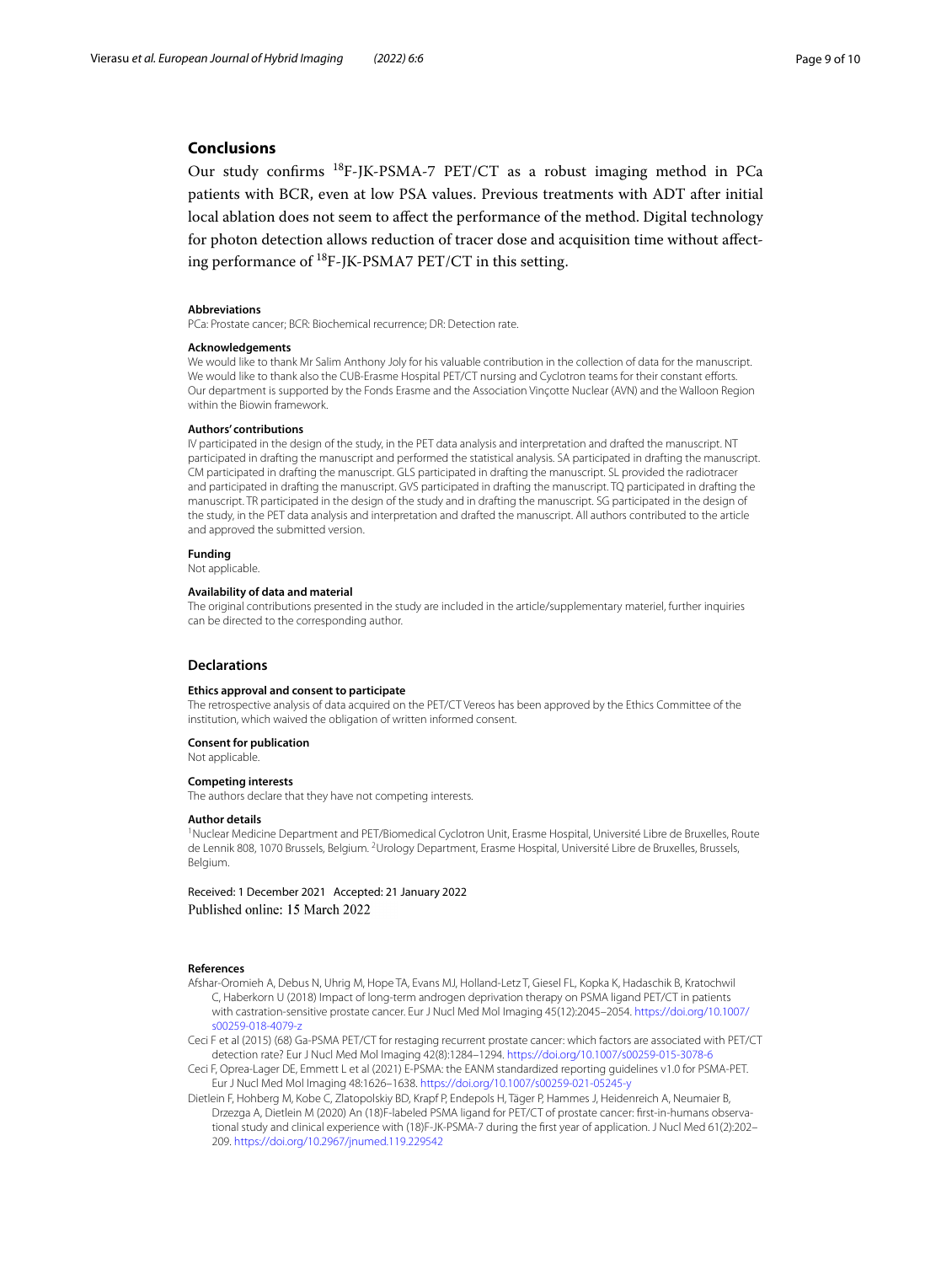## **Conclusions**

Our study confrms 18F-JK-PSMA-7 PET/CT as a robust imaging method in PCa patients with BCR, even at low PSA values. Previous treatments with ADT after initial local ablation does not seem to afect the performance of the method. Digital technology for photon detection allows reduction of tracer dose and acquisition time without afecting performance of 18F-JK-PSMA7 PET/CT in this setting.

#### **Abbreviations**

PCa: Prostate cancer; BCR: Biochemical recurrence; DR: Detection rate.

#### **Acknowledgements**

We would like to thank Mr Salim Anthony Joly for his valuable contribution in the collection of data for the manuscript. We would like to thank also the CUB-Erasme Hospital PET/CT nursing and Cyclotron teams for their constant eforts. Our department is supported by the Fonds Erasme and the Association Vinçotte Nuclear (AVN) and the Walloon Region within the Biowin framework.

#### **Authors' contributions**

IV participated in the design of the study, in the PET data analysis and interpretation and drafted the manuscript. NT participated in drafting the manuscript and performed the statistical analysis. SA participated in drafting the manuscript. CM participated in drafting the manuscript. GLS participated in drafting the manuscript. SL provided the radiotracer and participated in drafting the manuscript. GVS participated in drafting the manuscript. TQ participated in drafting the manuscript. TR participated in the design of the study and in drafting the manuscript. SG participated in the design of the study, in the PET data analysis and interpretation and drafted the manuscript. All authors contributed to the article and approved the submitted version.

## **Funding**

Not applicable.

## **Availability of data and material**

The original contributions presented in the study are included in the article/supplementary materiel, further inquiries can be directed to the corresponding author.

#### **Declarations**

#### **Ethics approval and consent to participate**

The retrospective analysis of data acquired on the PET/CT Vereos has been approved by the Ethics Committee of the institution, which waived the obligation of written informed consent.

#### **Consent for publication**

Not applicable.

## **Competing interests**

The authors declare that they have not competing interests.

#### **Author details**

<sup>1</sup> Nuclear Medicine Department and PET/Biomedical Cyclotron Unit, Erasme Hospital, Université Libre de Bruxelles, Route de Lennik 808, 1070 Brussels, Belgium. <sup>2</sup>Urology Department, Erasme Hospital, Université Libre de Bruxelles, Brussels, Belgium.

Received: 1 December 2021 Accepted: 21 January 2022 Published online: 15 March 2022

#### **References**

<span id="page-8-3"></span>Afshar-Oromieh A, Debus N, Uhrig M, Hope TA, Evans MJ, Holland-Letz T, Giesel FL, Kopka K, Hadaschik B, Kratochwil C, Haberkorn U (2018) Impact of long-term androgen deprivation therapy on PSMA ligand PET/CT in patients with castration-sensitive prostate cancer. Eur J Nucl Med Mol Imaging 45(12):2045–2054. [https://doi.org/10.1007/](https://doi.org/10.1007/s00259-018-4079-z) [s00259-018-4079-z](https://doi.org/10.1007/s00259-018-4079-z)

<span id="page-8-0"></span>Ceci F et al (2015) (68) Ga-PSMA PET/CT for restaging recurrent prostate cancer: which factors are associated with PET/CT detection rate? Eur J Nucl Med Mol Imaging 42(8):1284–1294.<https://doi.org/10.1007/s00259-015-3078-6>

- <span id="page-8-2"></span>Ceci F, Oprea-Lager DE, Emmett L et al (2021) E-PSMA: the EANM standardized reporting guidelines v1.0 for PSMA-PET. Eur J Nucl Med Mol Imaging 48:1626–1638.<https://doi.org/10.1007/s00259-021-05245-y>
- <span id="page-8-1"></span>Dietlein F, Hohberg M, Kobe C, Zlatopolskiy BD, Krapf P, Endepols H, Täger P, Hammes J, Heidenreich A, Neumaier B, Drzezga A, Dietlein M (2020) An (18)F-labeled PSMA ligand for PET/CT of prostate cancer: first-in-humans observational study and clinical experience with (18)F-JK-PSMA-7 during the frst year of application. J Nucl Med 61(2):202– 209. <https://doi.org/10.2967/jnumed.119.229542>